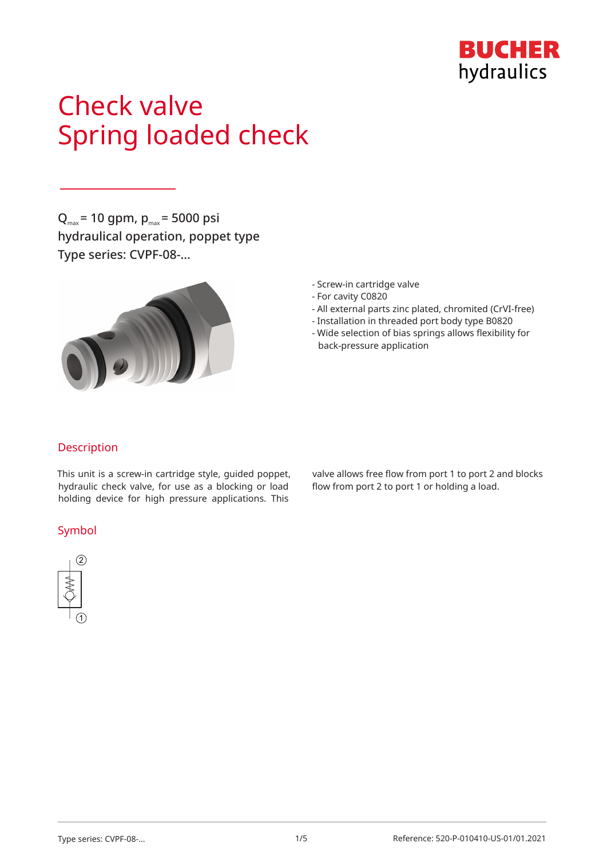

# Check valve Spring loaded check

 $Q_{\text{max}}$  = 10 gpm,  $p_{\text{max}}$  = 5000 psi hydraulical operation, poppet type Type series: CVPF-08-…



- Screw-in cartridge valve
- For cavity C0820
- All external parts zinc plated, chromited (CrVI-free)
- Installation in threaded port body type B0820
- Wide selection of bias springs allows flexibility for back-pressure application

## Description

This unit is a screw-in cartridge style, guided poppet, hydraulic check valve, for use as a blocking or load holding device for high pressure applications. This

### Symbol



valve allows free flow from port 1 to port 2 and blocks flow from port 2 to port 1 or holding a load.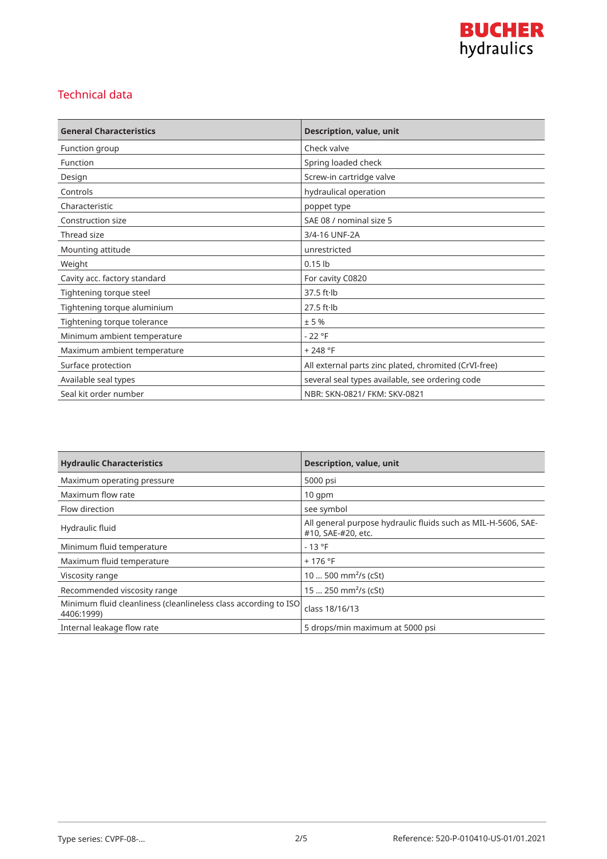

# Technical data

| <b>General Characteristics</b> | Description, value, unit                              |
|--------------------------------|-------------------------------------------------------|
| Function group                 | Check valve                                           |
| Function                       | Spring loaded check                                   |
| Design                         | Screw-in cartridge valve                              |
| Controls                       | hydraulical operation                                 |
| Characteristic                 | poppet type                                           |
| Construction size              | SAE 08 / nominal size 5                               |
| Thread size                    | 3/4-16 UNF-2A                                         |
| Mounting attitude              | unrestricted                                          |
| Weight                         | $0.15$ lb                                             |
| Cavity acc. factory standard   | For cavity C0820                                      |
| Tightening torque steel        | $37.5$ ft $\cdot$ lb                                  |
| Tightening torque aluminium    | $27.5$ ft $\cdot$ lb                                  |
| Tightening torque tolerance    | ±5%                                                   |
| Minimum ambient temperature    | $-22 °F$                                              |
| Maximum ambient temperature    | $+248 °F$                                             |
| Surface protection             | All external parts zinc plated, chromited (CrVI-free) |
| Available seal types           | several seal types available, see ordering code       |
| Seal kit order number          | NBR: SKN-0821/ FKM: SKV-0821                          |

| <b>Hydraulic Characteristics</b>                                              | <b>Description, value, unit</b>                                                     |
|-------------------------------------------------------------------------------|-------------------------------------------------------------------------------------|
| Maximum operating pressure                                                    | 5000 psi                                                                            |
| Maximum flow rate                                                             | $10$ qpm                                                                            |
| Flow direction                                                                | see symbol                                                                          |
| Hydraulic fluid                                                               | All general purpose hydraulic fluids such as MIL-H-5606, SAE-<br>#10, SAE-#20, etc. |
| Minimum fluid temperature                                                     | $-13 °F$                                                                            |
| Maximum fluid temperature                                                     | $+176$ °F                                                                           |
| Viscosity range                                                               | 10  500 mm <sup>2</sup> /s (cSt)                                                    |
| Recommended viscosity range                                                   | 15  250 mm <sup>2</sup> /s (cSt)                                                    |
| Minimum fluid cleanliness (cleanlineless class according to ISO<br>4406:1999) | class 18/16/13                                                                      |
| Internal leakage flow rate                                                    | 5 drops/min maximum at 5000 psi                                                     |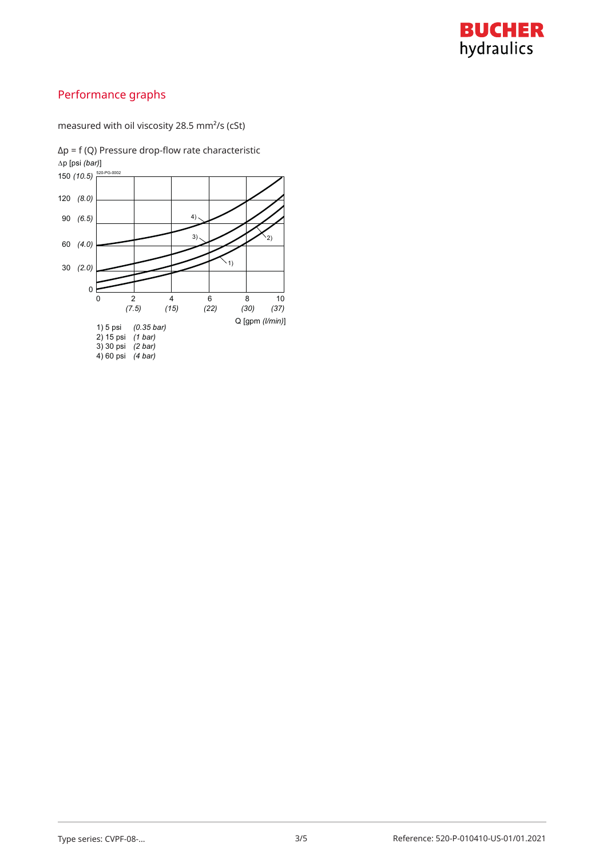

# Performance graphs

measured with oil viscosity 28.5 mm²/s (cSt)

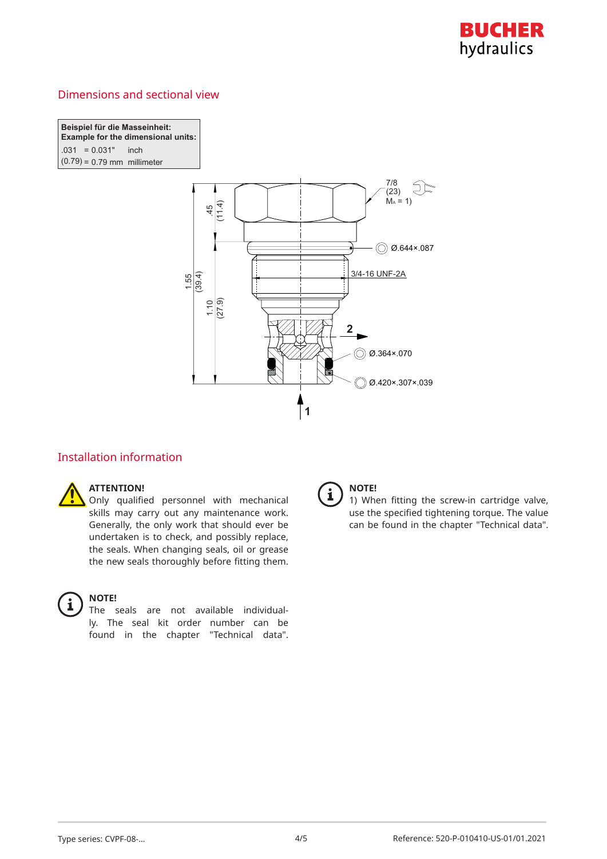

# Dimensions and sectional view

**Beispiel für die Masseinheit: Example for the dimensional units:**  $.031 = 0.031"$  inch I  $(0.79) = 0.79$  mm millimeter



# Installation information

# **ATTENTION!**

Only qualified personnel with mechanical skills may carry out any maintenance work. Generally, the only work that should ever be undertaken is to check, and possibly replace, the seals. When changing seals, oil or grease the new seals thoroughly before fitting them.



### **NOTE!**

The seals are not available individually. The seal kit order number can be found in the chapter "Technical data".



## **NOTE!**

1) When fitting the screw-in cartridge valve, use the specified tightening torque. The value can be found in the chapter "Technical data".